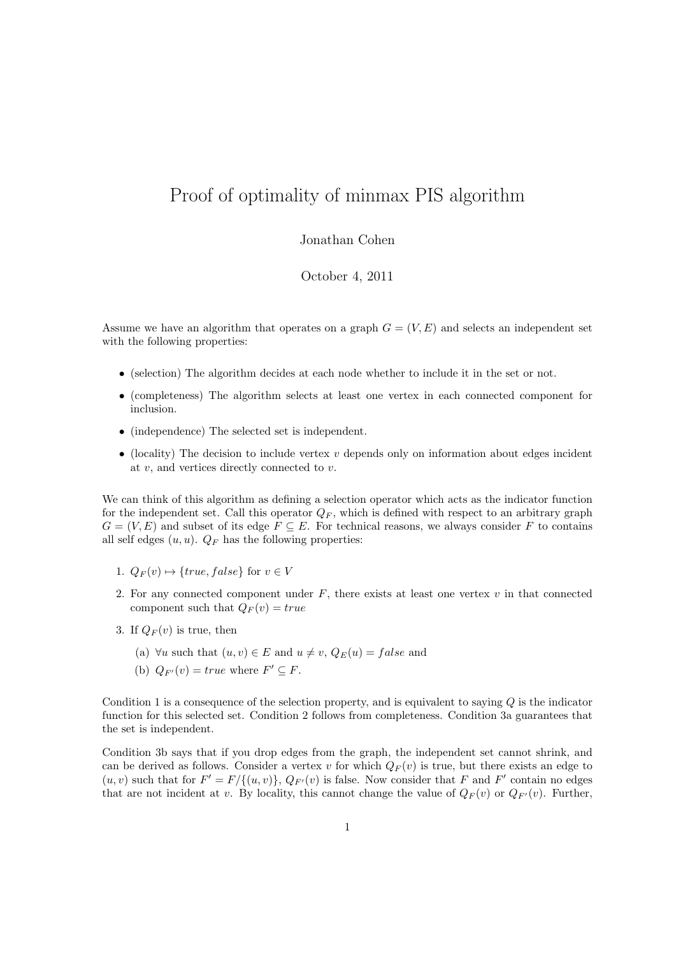## Proof of optimality of minmax PIS algorithm

## Jonathan Cohen

## October 4, 2011

Assume we have an algorithm that operates on a graph  $G = (V, E)$  and selects an independent set with the following properties:

- (selection) The algorithm decides at each node whether to include it in the set or not.
- (completeness) The algorithm selects at least one vertex in each connected component for inclusion.
- (independence) The selected set is independent.
- (locality) The decision to include vertex  $v$  depends only on information about edges incident at  $v$ , and vertices directly connected to  $v$ .

We can think of this algorithm as defining a selection operator which acts as the indicator function for the independent set. Call this operator  $Q_F$ , which is defined with respect to an arbitrary graph  $G = (V, E)$  and subset of its edge  $F \subseteq E$ . For technical reasons, we always consider F to contains all self edges  $(u, u)$ .  $Q_F$  has the following properties:

- 1.  $Q_F(v) \mapsto \{true, false\}$  for  $v \in V$
- 2. For any connected component under  $F$ , there exists at least one vertex  $v$  in that connected component such that  $Q_F(v) = true$
- 3. If  $Q_F(v)$  is true, then
	- (a)  $\forall u$  such that  $(u, v) \in E$  and  $u \neq v$ ,  $Q_E(u) = false$  and
	- (b)  $Q_{F'}(v) = true$  where  $F' \subseteq F$ .

Condition 1 is a consequence of the selection property, and is equivalent to saying  $Q$  is the indicator function for this selected set. Condition 2 follows from completeness. Condition 3a guarantees that the set is independent.

Condition 3b says that if you drop edges from the graph, the independent set cannot shrink, and can be derived as follows. Consider a vertex v for which  $Q_F(v)$  is true, but there exists an edge to  $(u, v)$  such that for  $F' = F/{(u, v)}$ ,  $Q_{F'}(v)$  is false. Now consider that F and F' contain no edges that are not incident at v. By locality, this cannot change the value of  $Q_F(v)$  or  $Q_{F'}(v)$ . Further,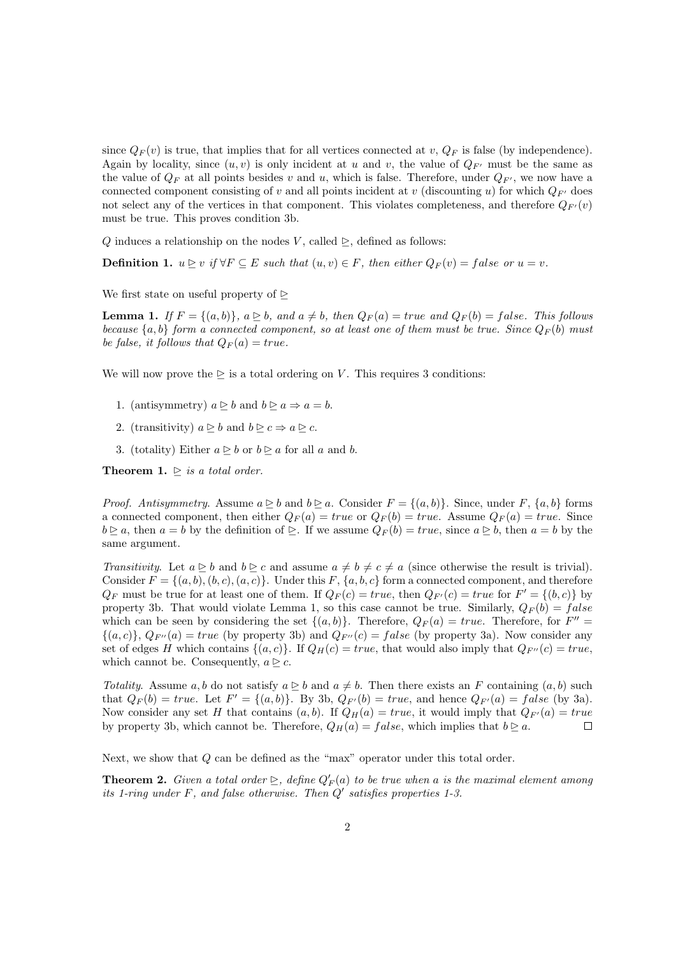since  $Q_F(v)$  is true, that implies that for all vertices connected at v,  $Q_F$  is false (by independence). Again by locality, since  $(u, v)$  is only incident at u and v, the value of  $Q_{F'}$  must be the same as the value of  $Q_F$  at all points besides v and u, which is false. Therefore, under  $Q_{F'}$ , we now have a connected component consisting of v and all points incident at v (discounting u) for which  $Q_{F'}$  does not select any of the vertices in that component. This violates completeness, and therefore  $Q_{F'}(v)$ must be true. This proves condition 3b.

Q induces a relationship on the nodes V, called  $\geq$ , defined as follows:

**Definition 1.**  $u \geq v$  if  $\forall F \subseteq E$  such that  $(u, v) \in F$ , then either  $Q_F(v) = false$  or  $u = v$ .

We first state on useful property of  $\triangleright$ 

**Lemma 1.** If  $F = \{(a, b)\}\$ ,  $a \geq b$ , and  $a \neq b$ , then  $Q_F(a) = true$  and  $Q_F(b) = false$ . This follows because  $\{a, b\}$  form a connected component, so at least one of them must be true. Since  $Q_F(b)$  must be false, it follows that  $Q_F(a) = true$ .

We will now prove the  $\geq$  is a total ordering on V. This requires 3 conditions:

- 1. (antisymmetry)  $a \triangleright b$  and  $b \triangleright a \Rightarrow a = b$ .
- 2. (transitivity)  $a \triangleright b$  and  $b \triangleright c \Rightarrow a \triangleright c$ .
- 3. (totality) Either  $a \trianglerighteq b$  or  $b \trianglerighteq a$  for all a and b.

**Theorem 1.**  $\triangleright$  is a total order.

*Proof.* Antisymmetry. Assume  $a \geq b$  and  $b \geq a$ . Consider  $F = \{(a, b)\}\$ . Since, under  $F$ ,  $\{a, b\}$  forms a connected component, then either  $Q_F(a) = true$  or  $Q_F(b) = true$ . Assume  $Q_F(a) = true$ . Since  $b \trianglerighteq a$ , then  $a = b$  by the definition of  $\trianglerighteq$ . If we assume  $Q_F(b) = true$ , since  $a \trianglerighteq b$ , then  $a = b$  by the same argument.

Transitivity. Let  $a \geq b$  and  $b \geq c$  and assume  $a \neq b \neq c \neq a$  (since otherwise the result is trivial). Consider  $F = \{(a, b), (b, c), (a, c)\}\$ . Under this F,  $\{a, b, c\}$  form a connected component, and therefore  $Q_F$  must be true for at least one of them. If  $Q_F(c) = true$ , then  $Q_{F'}(c) = true$  for  $F' = \{(b, c)\}\$ property 3b. That would violate Lemma 1, so this case cannot be true. Similarly,  $Q_F(b) = false$ which can be seen by considering the set  $\{(a, b)\}$ . Therefore,  $Q_F(a) = true$ . Therefore, for  $F'' =$  $\{(a, c)\}, Q_{F''}(a) = true$  (by property 3b) and  $Q_{F''}(c) = false$  (by property 3a). Now consider any set of edges H which contains  $\{(a, c)\}\$ . If  $Q_H(c) = true$ , that would also imply that  $Q_{F^{\prime\prime}}(c) = true$ , which cannot be. Consequently,  $a \trianglerighteq c$ .

Totality. Assume a, b do not satisfy  $a \triangleright b$  and  $a \neq b$ . Then there exists an F containing  $(a, b)$  such that  $Q_F(b) = true$ . Let  $F' = \{(a, b)\}\$ . By 3b,  $Q_{F'}(b) = true$ , and hence  $Q_{F'}(a) = false$  (by 3a). Now consider any set H that contains  $(a, b)$ . If  $Q_H(a) = true$ , it would imply that  $Q_{F'}(a) = true$ by property 3b, which cannot be. Therefore,  $Q_H(a) = false$ , which implies that  $b \ge a$ .  $\Box$ 

Next, we show that Q can be defined as the "max" operator under this total order.

**Theorem 2.** Given a total order  $\geq$ , define  $Q'_F(a)$  to be true when a is the maximal element among its 1-ring under F, and false otherwise. Then  $Q'$  satisfies properties 1-3.